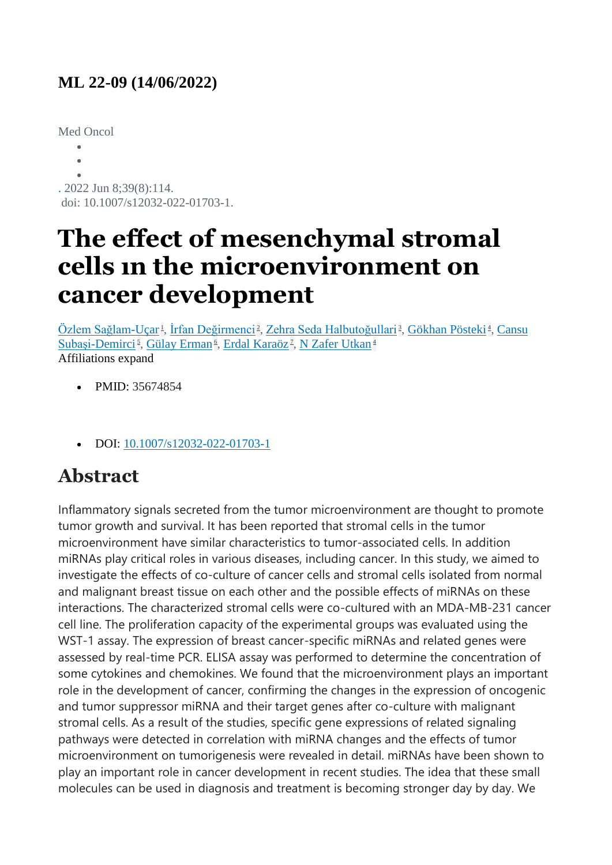#### **ML 22-09 (14/06/2022)**

Med Oncol

 $\bullet$  $\bullet$  $\bullet$ . 2022 Jun 8;39(8):114. doi: 10.1007/s12032-022-01703-1.

# **The effect of mesenchymal stromal cells ın the microenvironment on cancer development**

<u>[Özlem Sağlam-Uçar](https://pubmed.ncbi.nlm.nih.gov/?term=Sa%C4%9Flam-U%C3%A7ar+%C3%96&cauthor_id=35674854)k[,](https://pubmed.ncbi.nlm.nih.gov/35674854/#affiliation-4) [İrfan Değirmenci](https://pubmed.ncbi.nlm.nih.gov/?term=De%C4%9Firmenci+%C4%B0&cauthor_id=35674854)k, [Zehra Seda Halbutoğullari](https://pubmed.ncbi.nlm.nih.gov/?term=Halbuto%C4%9Fullari+ZS&cauthor_id=35674854)k, [Gökhan Pösteki](https://pubmed.ncbi.nlm.nih.gov/?term=P%C3%B6steki+G&cauthor_id=35674854)k, Cansu</u> [Subaşi-Demirci](https://pubmed.ncbi.nlm.nih.gov/?term=Suba%C5%9Fi-Demirci+C&cauthor_id=35674854)<sup>5</sup>[,](https://pubmed.ncbi.nlm.nih.gov/35674854/#affiliation-7) [Gülay Erman](https://pubmed.ncbi.nlm.nih.gov/?term=Erman+G&cauthor_id=35674854)<sup>6</sup>, [Erdal Karaöz](https://pubmed.ncbi.nlm.nih.gov/?term=Kara%C3%B6z+E&cauthor_id=35674854)<sup>7</sup>, [N Zafer Utkan](https://pubmed.ncbi.nlm.nih.gov/?term=Utkan+NZ&cauthor_id=35674854)<sup>[4](https://pubmed.ncbi.nlm.nih.gov/35674854/#affiliation-4)</sup> Affiliations expand

- PMID: 35674854
- DOI: [10.1007/s12032-022-01703-1](https://doi.org/10.1007/s12032-022-01703-1)

## **Abstract**

Inflammatory signals secreted from the tumor microenvironment are thought to promote tumor growth and survival. It has been reported that stromal cells in the tumor microenvironment have similar characteristics to tumor-associated cells. In addition miRNAs play critical roles in various diseases, including cancer. In this study, we aimed to investigate the effects of co-culture of cancer cells and stromal cells isolated from normal and malignant breast tissue on each other and the possible effects of miRNAs on these interactions. The characterized stromal cells were co-cultured with an MDA-MB-231 cancer cell line. The proliferation capacity of the experimental groups was evaluated using the WST-1 assay. The expression of breast cancer-specific miRNAs and related genes were assessed by real-time PCR. ELISA assay was performed to determine the concentration of some cytokines and chemokines. We found that the microenvironment plays an important role in the development of cancer, confirming the changes in the expression of oncogenic and tumor suppressor miRNA and their target genes after co-culture with malignant stromal cells. As a result of the studies, specific gene expressions of related signaling pathways were detected in correlation with miRNA changes and the effects of tumor microenvironment on tumorigenesis were revealed in detail. miRNAs have been shown to play an important role in cancer development in recent studies. The idea that these small molecules can be used in diagnosis and treatment is becoming stronger day by day. We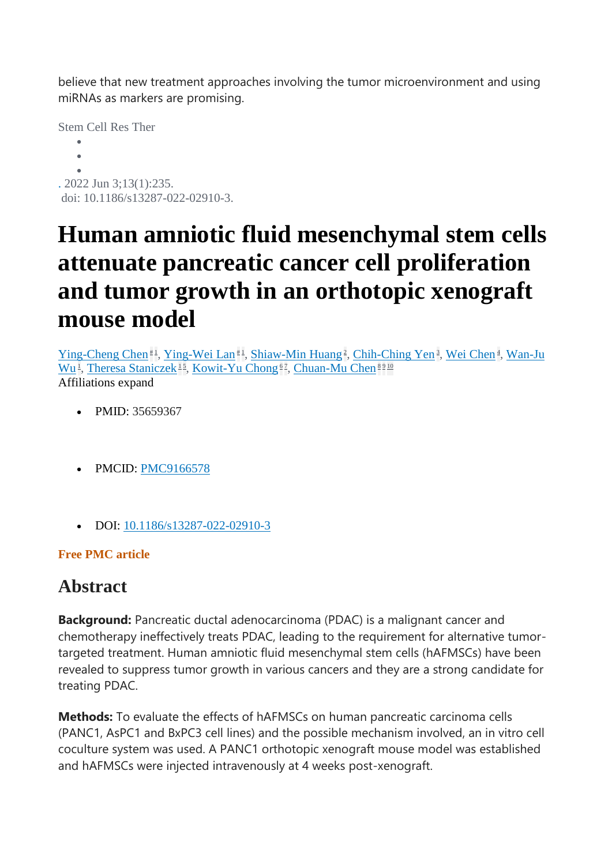believe that new treatment approaches involving the tumor microenvironment and using miRNAs as markers are promising.

Stem Cell Res Ther

 $\bullet$  $\bullet$  $\bullet$ . 2022 Jun 3;13(1):235. doi: 10.1186/s13287-022-02910-3.

# **Human amniotic fluid mesenchymal stem cells attenuate pancreatic cancer cell proliferation and tumor growth in an orthotopic xenograft mouse model**

[Ying-Cheng Chen](https://pubmed.ncbi.nlm.nih.gov/?term=Chen+YC&cauthor_id=35659367)<sup>[#](https://pubmed.ncbi.nlm.nih.gov/35659367/#equal-contrib-explanation)1</sup>[,](https://pubmed.ncbi.nlm.nih.gov/35659367/#affiliation-4) [Ying-Wei Lan](https://pubmed.ncbi.nlm.nih.gov/?term=Lan+YW&cauthor_id=35659367)<sup>#1</sup>, [Shiaw-Min Huang](https://pubmed.ncbi.nlm.nih.gov/?term=Huang+SM&cauthor_id=35659367)<sup>2</sup>, [Chih-Ching Yen](https://pubmed.ncbi.nlm.nih.gov/?term=Yen+CC&cauthor_id=35659367)<sup>3</sup>, [Wei Chen](https://pubmed.ncbi.nlm.nih.gov/?term=Chen+W&cauthor_id=35659367)<sup>4</sup>, Wan-Ju [Wu](https://pubmed.ncbi.nlm.nih.gov/?term=Wu+WJ&cauthor_id=35659367)<sup>1</sup>[,](https://pubmed.ncbi.nlm.nih.gov/35659367/#affiliation-7) [Theresa Staniczek](https://pubmed.ncbi.nlm.nih.gov/?term=Staniczek+T&cauthor_id=35659367)<sup>[1](https://pubmed.ncbi.nlm.nih.gov/35659367/#affiliation-1)5</sup>, [Kowit-Yu Chong](https://pubmed.ncbi.nlm.nih.gov/?term=Chong+KY&cauthor_id=35659367)<sup>[6](https://pubmed.ncbi.nlm.nih.gov/35659367/#affiliation-6)2</sup>, [Chuan-Mu Chen](https://pubmed.ncbi.nlm.nih.gov/?term=Chen+CM&cauthor_id=35659367)<sup>[8](https://pubmed.ncbi.nlm.nih.gov/35659367/#affiliation-8)[9](https://pubmed.ncbi.nlm.nih.gov/35659367/#affiliation-9)[10](https://pubmed.ncbi.nlm.nih.gov/35659367/#affiliation-10)</sup> Affiliations expand

- PMID: 35659367
- PMCID: [PMC9166578](http://www.ncbi.nlm.nih.gov/pmc/articles/pmc9166578/)
- DOI: [10.1186/s13287-022-02910-3](https://doi.org/10.1186/s13287-022-02910-3)

#### **Free PMC article**

### **Abstract**

**Background:** Pancreatic ductal adenocarcinoma (PDAC) is a malignant cancer and chemotherapy ineffectively treats PDAC, leading to the requirement for alternative tumortargeted treatment. Human amniotic fluid mesenchymal stem cells (hAFMSCs) have been revealed to suppress tumor growth in various cancers and they are a strong candidate for treating PDAC.

**Methods:** To evaluate the effects of hAFMSCs on human pancreatic carcinoma cells (PANC1, AsPC1 and BxPC3 cell lines) and the possible mechanism involved, an in vitro cell coculture system was used. A PANC1 orthotopic xenograft mouse model was established and hAFMSCs were injected intravenously at 4 weeks post-xenograft.